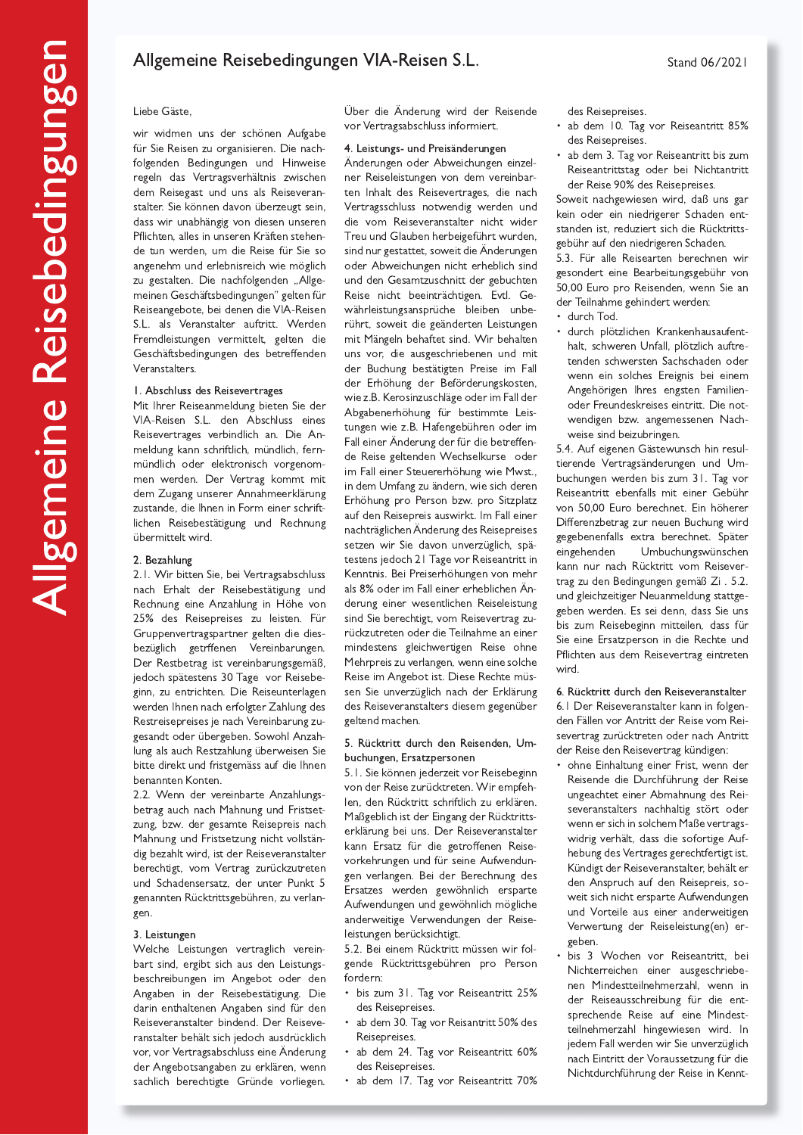# Allgemeine Reisebedingungen VIA-Reisen S.L.

### Liebe Gäste,

wir widmen uns der schönen Aufgabe für Sie Reisen zu organisieren. Die nachfolgenden Bedingungen und Hinweise regeln das Vertragsverhältnis zwischen dem Reisegast und uns als Reiseveranstalter. Sie können davon überzeugt sein, dass wir unabhängig von diesen unseren Pflichten, alles in unseren Kräften stehende tun werden, um die Reise für Sie so angenehm und erlebnisreich wie möglich zu gestalten. Die nachfolgenden "Allgemeinen Geschäftsbedingungen" gelten für Reiseangebote, bei denen die VIA-Reisen S.L. als Veranstalter auftritt. Werden Fremdleistungen vermittelt, gelten die Geschäftsbedingungen des betreffenden Veranstalters.

### I. Abschluss des Reisevertrages

Mit Ihrer Reiseanmeldung bieten Sie der VIA-Reisen S.L. den Abschluss eines Reisevertrages verbindlich an. Die Anmeldung kann schriftlich, mündlich, fernmündlich oder elektronisch vorgenommen werden. Der Vertrag kommt mit dem Zugang unserer Annahmeerklärung zustande, die Ihnen in Form einer schriftlichen Reisebestätigung und Rechnung übermittelt wird.

#### 2. Bezahlung

2.1. Wir bitten Sie, bei Vertragsabschluss nach Erhalt der Reisebestätigung und Rechnung eine Anzahlung in Höhe von 25% des Reisepreises zu leisten. Für Gruppenvertragspartner gelten die diesbezüglich getrffenen Vereinbarungen. Der Restbetrag ist vereinbarungsgemäß, jedoch spätestens 30 Tage vor Reisebeginn, zu entrichten. Die Reiseunterlagen werden Ihnen nach erfolgter Zahlung des Restreisepreises je nach Vereinbarung zugesandt oder übergeben. Sowohl Anzahlung als auch Restzahlung überweisen Sie bitte direkt und fristgemäss auf die Ihnen benannten Konten

2.2. Wenn der vereinbarte Anzahlungsbetrag auch nach Mahnung und Fristsetzung, bzw. der gesamte Reisepreis nach Mahnung und Fristsetzung nicht vollständig bezahlt wird, ist der Reiseveranstalter berechtigt, vom Vertrag zurückzutreten und Schadensersatz, der unter Punkt 5 genannten Rücktrittsgebühren, zu verlangen.

#### 3. Leistungen

Welche Leistungen vertraglich vereinbart sind, ergibt sich aus den Leistungsbeschreibungen im Angebot oder den Angaben in der Reisebestätigung. Die darin enthaltenen Angaben sind für den Reiseveranstalter bindend. Der Reiseveranstalter behält sich jedoch ausdrücklich vor, vor Vertragsabschluss eine Änderung der Angebotsangaben zu erklären, wenn sachlich berechtigte Gründe vorliegen. Über die Änderung wird der Reisende vor Vertragsabschluss informiert.

#### 4. Leistungs- und Preisänderungen

Änderungen oder Abweichungen einzelner Reiseleistungen von dem vereinbarten Inhalt des Reisevertrages, die nach Vertragsschluss notwendig werden und die vom Reiseveranstalter nicht wider Treu und Glauben herbeigeführt wurden, sind nur gestattet, soweit die Änderungen oder Abweichungen nicht erheblich sind und den Gesamtzuschnitt der gebuchten Reise nicht beeinträchtigen. Evtl. Gewährleistungsansprüche bleiben unberührt, soweit die geänderten Leistungen mit Mängeln behaftet sind. Wir behalten uns vor, die ausgeschriebenen und mit der Buchung bestätigten Preise im Fall der Erhöhung der Beförderungskosten, wie z.B. Kerosinzuschläge oder im Fall der Abgabenerhöhung für bestimmte Leistungen wie z.B. Hafengebühren oder im Fall einer Änderung der für die betreffende Reise geltenden Wechselkurse oder im Fall einer Steuererhöhung wie Mwst., in dem Umfang zu ändern, wie sich deren Erhöhung pro Person bzw. pro Sitzplatz auf den Reisepreis auswirkt. Im Fall einer nachträglichen Änderung des Reisepreises setzen wir Sie davon unverzüglich, spätestens jedoch 21 Tage vor Reiseantritt in Kenntnis. Bei Preiserhöhungen von mehr als 8% oder im Fall einer erheblichen Änderung einer wesentlichen Reiseleistung sind Sie berechtigt, vom Reisevertrag zurückzutreten oder die Teilnahme an einer mindestens gleichwertigen Reise ohne Mehrpreis zu verlangen, wenn eine solche Reise im Angebot ist. Diese Rechte müssen Sie unverzüglich nach der Erklärung des Reiseveranstalters diesem gegenüber geltend machen.

### 5. Rücktritt durch den Reisenden, Umbuchungen, Ersatzpersonen

5.1. Sie können jederzeit vor Reisebeginn von der Reise zurücktreten. Wir empfehlen, den Rücktritt schriftlich zu erklären. Maßgeblich ist der Eingang der Rücktrittserklärung bei uns. Der Reiseveranstalter kann Ersatz für die getroffenen Reisevorkehrungen und für seine Aufwendungen verlangen. Bei der Berechnung des Ersatzes werden gewöhnlich ersparte Aufwendungen und gewöhnlich mögliche anderweitige Verwendungen der Reiseleistungen berücksichtigt.

5.2. Bei einem Rücktritt müssen wir folgende Rücktrittsgebühren pro Person fordern:

- bis zum 31. Tag vor Reiseantritt 25% des Reisepreises.
- ab dem 30. Tag vor Reisantritt 50% des Reisepreises.
- ab dem 24. Tag vor Reiseantritt 60% des Reisepreises.
- ab dem 17. Tag vor Reiseantritt 70%

des Reisepreises.

- ab dem 10. Tag vor Reiseantritt 85% des Reisepreises.
- ab dem 3. Tag vor Reiseantritt bis zum Reiseantrittstag oder bei Nichtantritt der Reise 90% des Reisepreises.

Soweit nachgewiesen wird, daß uns gar kein oder ein niedrigerer Schaden entstanden ist, reduziert sich die Rücktrittsgebühr auf den niedrigeren Schaden.

5.3. Für alle Reisearten berechnen wir gesondert eine Bearbeitungsgebühr von 50,00 Euro pro Reisenden, wenn Sie an der Teilnahme gehindert werden:

- · durch Tod.
	- durch plötzlichen Krankenhausaufenthalt, schweren Unfall, plötzlich auftretenden schwersten Sachschaden oder wenn ein solches Ereignis bei einem Angehörigen Ihres engsten Familienoder Freundeskreises eintritt. Die notwendigen bzw. angemessenen Nachweise sind beizubringen.

5.4. Auf eigenen Gästewunsch hin resultierende Vertragsänderungen und Umbuchungen werden bis zum 31. Tag vor Reiseantritt ebenfalls mit einer Gebühr von 50,00 Euro berechnet. Ein höherer Differenzbetrag zur neuen Buchung wird gegebenenfalls extra berechnet. Später eingehenden Umbuchungswünschen kann nur nach Rücktritt vom Reisevertrag zu den Bedingungen gemäß Zi. 5.2. und gleichzeitiger Neuanmeldung stattgegeben werden. Es sei denn, dass Sie uns bis zum Reisebeginn mitteilen, dass für Sie eine Ersatzperson in die Rechte und Pflichten aus dem Reisevertrag eintreten wird.

6. Rücktritt durch den Reiseveranstalter 6.1 Der Reiseveranstalter kann in folgenden Fällen vor Antritt der Reise vom Reisevertrag zurücktreten oder nach Antritt der Reise den Reisevertrag kündigen:

- ohne Einhaltung einer Frist, wenn der Reisende die Durchführung der Reise ungeachtet einer Abmahnung des Reiseveranstalters nachhaltig stört oder wenn er sich in solchem Maße vertragswidrig verhält, dass die sofortige Aufhebung des Vertrages gerechtfertigt ist. Kündigt der Reiseveranstalter, behält er den Anspruch auf den Reisepreis, soweit sich nicht ersparte Aufwendungen und Vorteile aus einer anderweitigen Verwertung der Reiseleistung(en) ergeben.
- · bis 3 Wochen vor Reiseantritt, bei Nichterreichen einer ausgeschriebenen Mindestteilnehmerzahl, wenn in der Reiseausschreibung für die entsprechende Reise auf eine Mindestteilnehmerzahl hingewiesen wird. In jedem Fall werden wir Sie unverzüglich nach Eintritt der Voraussetzung für die Nichtdurchführung der Reise in Kennt-